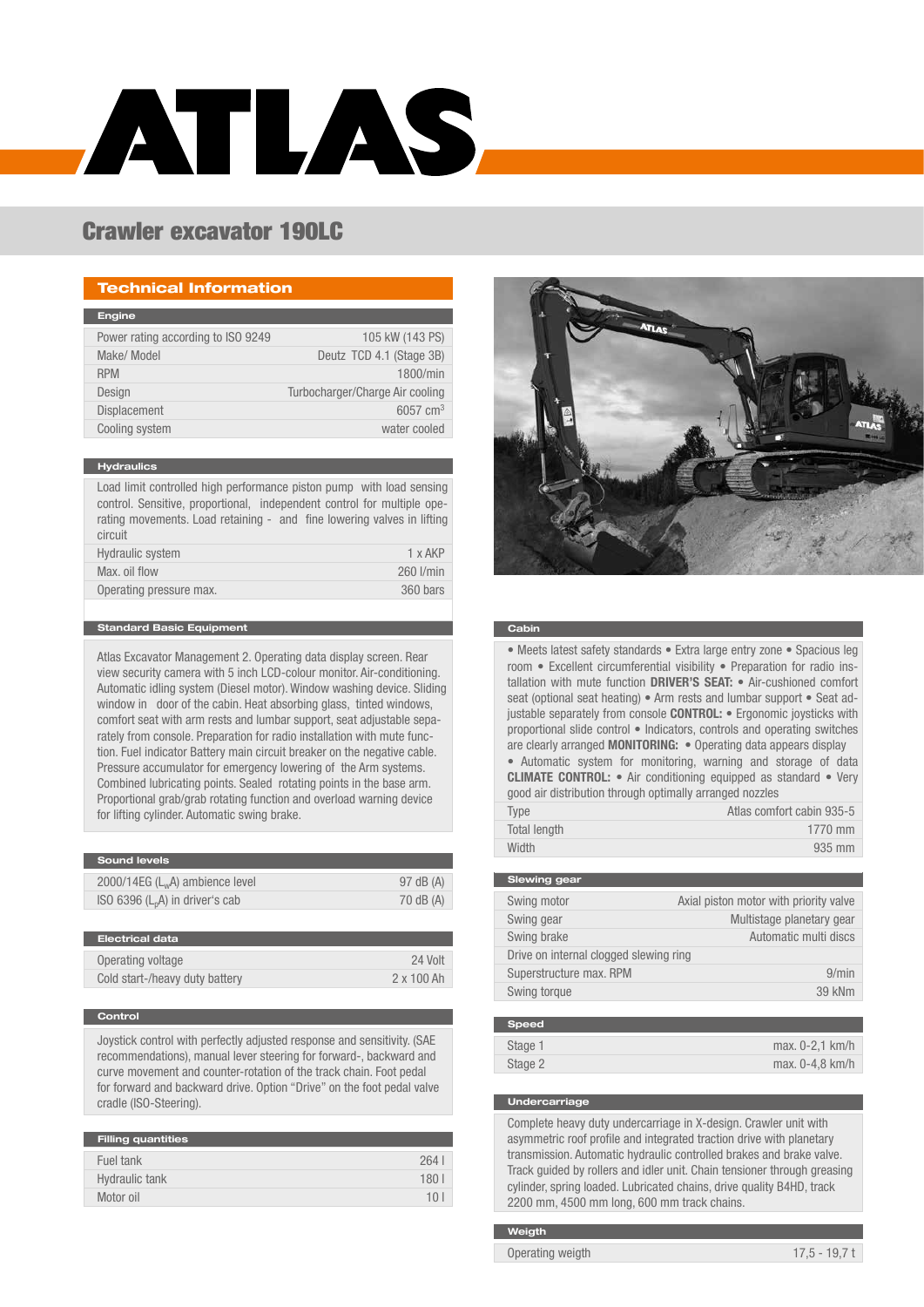# ATLAS.

# Crawler excavator 190LC

# Technical Information

| 105 kW (143 PS)                 |
|---------------------------------|
| Deutz TCD 4.1 (Stage 3B)        |
| 1800/min                        |
| Turbocharger/Charge Air cooling |
| 6057 $cm3$                      |
| water cooled                    |
|                                 |

#### **Hydraulics**

Load limit controlled high performance piston pump with load sensing control. Sensitive, proportional, independent control for multiple operating movements. Load retaining - and fine lowering valves in lifting circuit

| Hydraulic system        | 1 x AKP   |
|-------------------------|-----------|
| Max. oil flow           | 260 l/min |
| Operating pressure max. | 360 bars  |
|                         |           |

#### Standard Basic Equipment

Atlas Excavator Management 2. Operating data display screen. Rear view security camera with 5 inch LCD-colour monitor. Air-conditioning. Automatic idling system (Diesel motor). Window washing device. Sliding window in door of the cabin. Heat absorbing glass, tinted windows, comfort seat with arm rests and lumbar support, seat adjustable separately from console. Preparation for radio installation with mute function. Fuel indicator Battery main circuit breaker on the negative cable. Pressure accumulator for emergency lowering of the Arm systems. Combined lubricating points. Sealed rotating points in the base arm. Proportional grab/grab rotating function and overload warning device for lifting cylinder. Automatic swing brake.

| <b>Sound levels</b>               |           |
|-----------------------------------|-----------|
|                                   |           |
| 2000/14EG $(L_wA)$ ambience level | 97 dB (A) |
| ISO 6396 $(L_pA)$ in driver's cab | 70 dB (A) |
|                                   |           |

| Electrical data                |            |
|--------------------------------|------------|
| Operating voltage              | 24 Volt    |
| Cold start-/heavy duty battery | 2 x 100 Ah |
|                                |            |

#### Control

Joystick control with perfectly adjusted response and sensitivity. (SAE recommendations), manual lever steering for forward-, backward and curve movement and counter-rotation of the track chain. Foot pedal for forward and backward drive. Option "Drive" on the foot pedal valve cradle (ISO-Steering).

| <b>Filling quantities</b> |          |
|---------------------------|----------|
|                           |          |
| Fuel tank                 | 264      |
|                           |          |
|                           |          |
| Hydraulic tank            | 180      |
|                           |          |
| Motor oil                 | $10^{-}$ |
|                           |          |



#### Cabin

• Meets latest safety standards • Extra large entry zone • Spacious leg room • Excellent circumferential visibility • Preparation for radio installation with mute function DRIVER'S SEAT: . Air-cushioned comfort seat (optional seat heating) • Arm rests and lumbar support • Seat adjustable separately from console **CONTROL:** • Ergonomic joysticks with proportional slide control • Indicators, controls and operating switches are clearly arranged MONITORING: • Operating data appears display • Automatic system for monitoring, warning and storage of data

CLIMATE CONTROL: • Air conditioning equipped as standard • Very good air distribution through optimally arranged nozzles

| Type         | Atlas comfort cabin 935-5 |
|--------------|---------------------------|
| Total length | 1770 mm                   |
| Width        | 935 mm                    |

| <b>Slewing gear</b>                    |                                        |
|----------------------------------------|----------------------------------------|
| Swing motor                            | Axial piston motor with priority valve |
| Swing gear                             | Multistage planetary gear              |
| Swing brake                            | Automatic multi discs                  |
| Drive on internal clogged slewing ring |                                        |
| Superstructure max. RPM                | 9/min                                  |
| Swing torque                           | 39 kNm                                 |
|                                        |                                        |

| <b>Speed</b> |                   |
|--------------|-------------------|
| Stage 1      | $max. 0-2.1 km/h$ |
| Stage 2      | $max. 0-4.8 km/h$ |

#### **Undercarriage**

Complete heavy duty undercarriage in X-design. Crawler unit with asymmetric roof profile and integrated traction drive with planetary transmission. Automatic hydraulic controlled brakes and brake valve. Track guided by rollers and idler unit. Chain tensioner through greasing cylinder, spring loaded. Lubricated chains, drive quality B4HD, track 2200 mm, 4500 mm long, 600 mm track chains.

#### **Weigth**

Operating weigth 17,5 - 19,7 t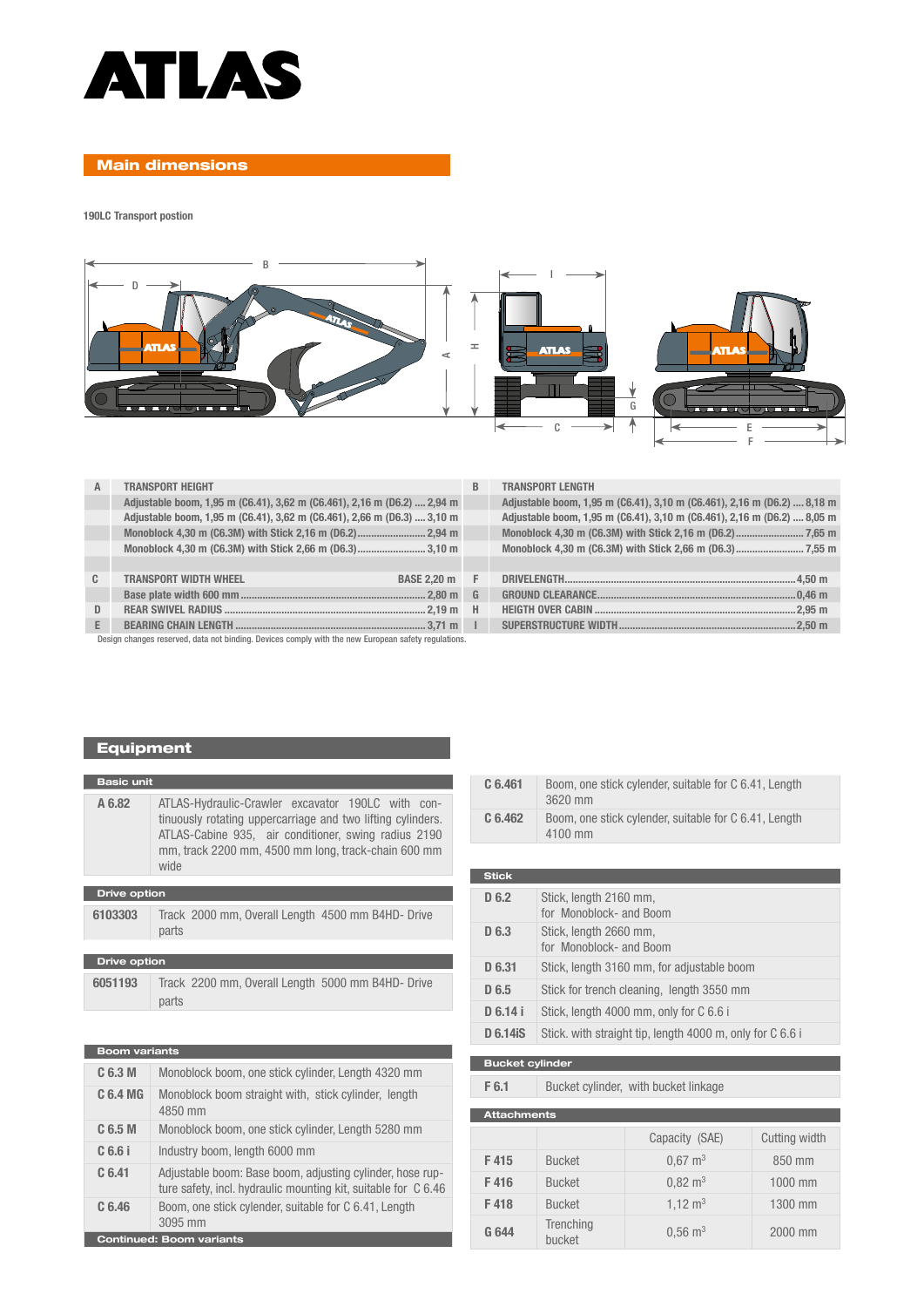

### Main dimensions

190LC Transport postion



| A  | <b>TRANSPORT HEIGHT</b>                                                                             | B. | <b>TRANSPORT LENGTH</b>                                                 |  |
|----|-----------------------------------------------------------------------------------------------------|----|-------------------------------------------------------------------------|--|
|    | Adjustable boom, 1,95 m (C6.41), 3,62 m (C6.461), 2,16 m (D6.2)  2,94 m                             |    | Adjustable boom, 1,95 m (C6.41), 3,10 m (C6.461), 2,16 m (D6.2)  8,18 m |  |
|    | Adjustable boom, 1,95 m (C6.41), 3,62 m (C6.461), 2,66 m (D6.3)  3,10 m                             |    | Adjustable boom, 1,95 m (C6.41), 3,10 m (C6.461), 2,16 m (D6.2)  8,05 m |  |
|    |                                                                                                     |    |                                                                         |  |
|    |                                                                                                     |    |                                                                         |  |
|    |                                                                                                     |    |                                                                         |  |
| C. | <b>TRANSPORT WIDTH WHEEL</b><br><b>BASE 2.20 m F</b>                                                |    |                                                                         |  |
|    |                                                                                                     |    |                                                                         |  |
| D  |                                                                                                     |    |                                                                         |  |
| E. |                                                                                                     |    |                                                                         |  |
|    | Design changes reserved, data not binding. Devices comply with the new European safety regulations. |    |                                                                         |  |

### TRANSPORT LENGTH

| Adjustable boom, 1,95 m (C6.41), 3,10 m (C6.461), 2,16 m (D6.2)  8,18 m |  |
|-------------------------------------------------------------------------|--|
| Adjustable boom, 1,95 m (C6.41), 3,10 m (C6.461), 2,16 m (D6.2)  8,05 m |  |
|                                                                         |  |
|                                                                         |  |

# Equipment

٠

| <b>Basic unit</b>   |                                                                                                                                                                                                                                         |  |
|---------------------|-----------------------------------------------------------------------------------------------------------------------------------------------------------------------------------------------------------------------------------------|--|
| A 6.82              | ATLAS-Hydraulic-Crawler excavator 190LC with con-<br>tinuously rotating uppercarriage and two lifting cylinders.<br>ATLAS-Cabine 935, air conditioner, swing radius 2190<br>mm, track 2200 mm, 4500 mm long, track-chain 600 mm<br>wide |  |
| <b>Drive option</b> |                                                                                                                                                                                                                                         |  |
| 6103303             | Track 2000 mm, Overall Length 4500 mm B4HD- Drive<br>parts                                                                                                                                                                              |  |

# Drive option 6051193 Track 2200 mm, Overall Length 5000 mm B4HD- Drive parts

| <b>Boom variants</b> |                                                                                                                             |  |  |  |  |  |  |  |  |  |
|----------------------|-----------------------------------------------------------------------------------------------------------------------------|--|--|--|--|--|--|--|--|--|
| C 6.3 M              | Monoblock boom, one stick cylinder, Length 4320 mm                                                                          |  |  |  |  |  |  |  |  |  |
| C 6.4 MG             | Monoblock boom straight with, stick cylinder, length<br>4850 mm                                                             |  |  |  |  |  |  |  |  |  |
| C <sub>6.5</sub> M   | Monoblock boom, one stick cylinder, Length 5280 mm                                                                          |  |  |  |  |  |  |  |  |  |
| $C6.6$ i             | Industry boom, length 6000 mm                                                                                               |  |  |  |  |  |  |  |  |  |
| C <sub>6.41</sub>    | Adjustable boom: Base boom, adjusting cylinder, hose rup-<br>ture safety, incl. hydraulic mounting kit, suitable for C 6.46 |  |  |  |  |  |  |  |  |  |
| C <sub>6.46</sub>    | Boom, one stick cylender, suitable for C 6.41, Length<br>3095 mm                                                            |  |  |  |  |  |  |  |  |  |
|                      | <b>Continued: Boom variants</b>                                                                                             |  |  |  |  |  |  |  |  |  |

|                  | 4100 mm                                           |
|------------------|---------------------------------------------------|
|                  |                                                   |
| <b>Stick</b>     |                                                   |
| D 6.2            | Stick, length 2160 mm,<br>for Monoblock- and Boom |
| D <sub>6.3</sub> | Stick, length 2660 mm,<br>for Monoblock- and Boom |
| D 6.31           | Stick, length 3160 mm, for adjustable boom        |
| D 6.5            | Stick for trench cleaning, length 3550 mm         |

C 6.461 Boom, one stick cylender, suitable for C 6.41, Length

C 6.462 Boom, one stick cylender, suitable for C 6.41, Length

3620 mm

- **D 6.14 i** Stick, length 4000 mm, only for C 6.6 i
- D 6.14iS Stick. with straight tip, length 4000 m, only for C 6.6 i

#### Bucket cylinder

F 6.1 Bucket cylinder, with bucket linkage

| <b>Attachments</b> |                     |                        |               |  |  |  |  |  |  |  |  |
|--------------------|---------------------|------------------------|---------------|--|--|--|--|--|--|--|--|
|                    |                     | Capacity (SAE)         | Cutting width |  |  |  |  |  |  |  |  |
| F415               | <b>Bucket</b>       | $0.67 \text{ m}^3$     | 850 mm        |  |  |  |  |  |  |  |  |
| F416               | <b>Bucket</b>       | $0,82 \text{ m}^3$     | 1000 mm       |  |  |  |  |  |  |  |  |
| F418               | <b>Bucket</b>       | $1,12 \text{ m}^3$     | 1300 mm       |  |  |  |  |  |  |  |  |
| G 644              | Trenching<br>bucket | $0.56 \; \mathrm{m}^3$ | 2000 mm       |  |  |  |  |  |  |  |  |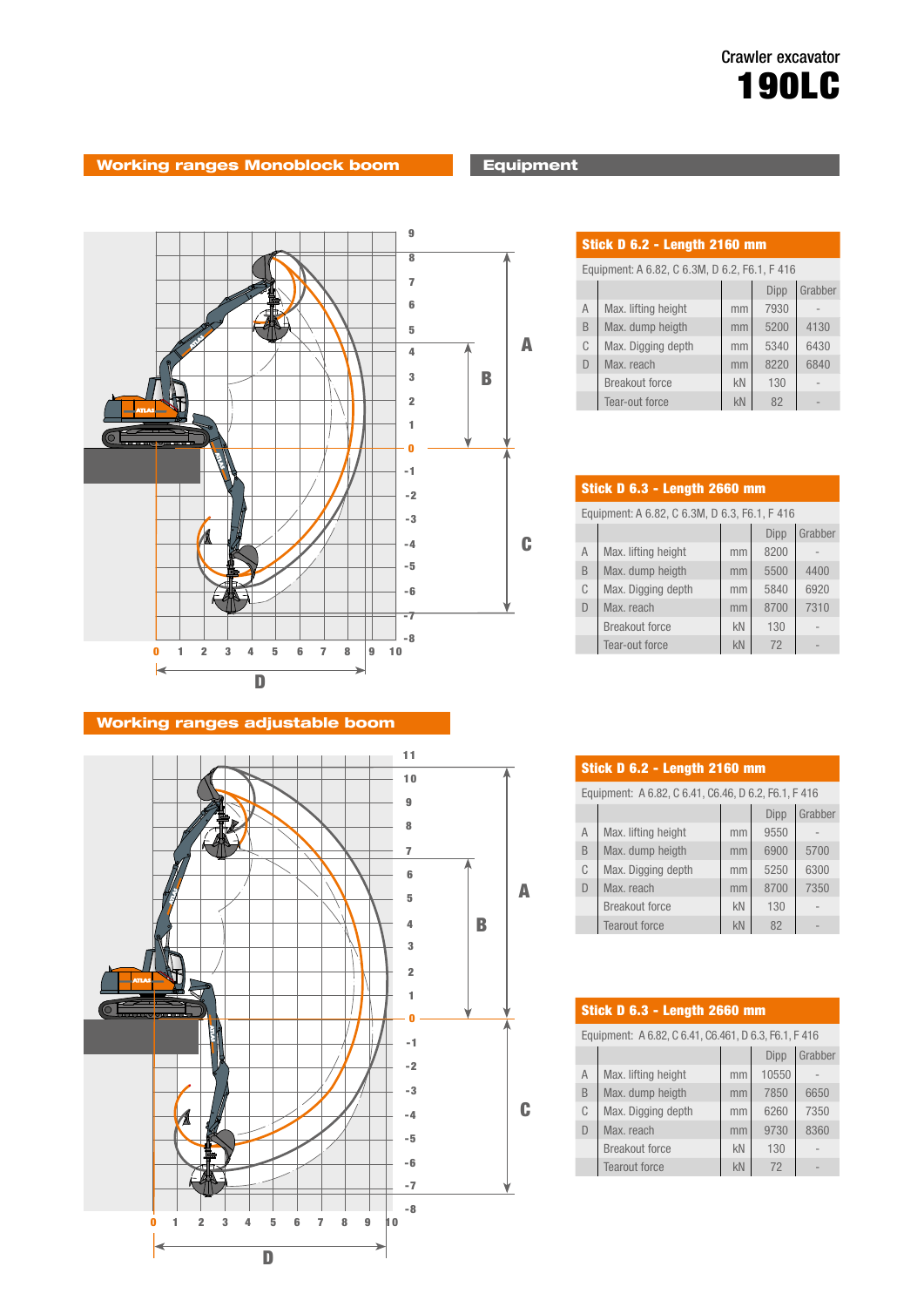# Working ranges Monoblock boom **Equipment**



# Working ranges adjustable boom



| Stick D 6.2 - Length 2160 mm                  |                       |    |      |         |  |  |  |  |  |  |  |
|-----------------------------------------------|-----------------------|----|------|---------|--|--|--|--|--|--|--|
| Equipment: A 6.82, C 6.3M, D 6.2, F6.1, F 416 |                       |    |      |         |  |  |  |  |  |  |  |
|                                               |                       |    | Dipp | Grabber |  |  |  |  |  |  |  |
| $\overline{A}$                                | Max. lifting height   | mm | 7930 |         |  |  |  |  |  |  |  |
| B                                             | Max. dump heigth      | mm | 5200 | 4130    |  |  |  |  |  |  |  |
| C                                             | Max. Digging depth    | mm | 5340 | 6430    |  |  |  |  |  |  |  |
| D                                             | Max. reach            | mm | 8220 | 6840    |  |  |  |  |  |  |  |
|                                               | <b>Breakout force</b> | kN | 130  |         |  |  |  |  |  |  |  |
|                                               | Tear-out force        | kN | 82   |         |  |  |  |  |  |  |  |

| <b>Stick D 6.3 - Length 2660 mm</b>           |                       |    |      |         |  |  |  |  |  |  |  |  |
|-----------------------------------------------|-----------------------|----|------|---------|--|--|--|--|--|--|--|--|
| Equipment: A 6.82, C 6.3M, D 6.3, F6.1, F 416 |                       |    |      |         |  |  |  |  |  |  |  |  |
|                                               |                       |    | Dipp | Grabber |  |  |  |  |  |  |  |  |
| $\overline{A}$                                | Max. lifting height   | mm | 8200 |         |  |  |  |  |  |  |  |  |
| B                                             | Max. dump heigth      | mm | 5500 | 4400    |  |  |  |  |  |  |  |  |
| C                                             | Max. Digging depth    | mm | 5840 | 6920    |  |  |  |  |  |  |  |  |
| D                                             | Max. reach            | mm | 8700 | 7310    |  |  |  |  |  |  |  |  |
|                                               | <b>Breakout force</b> | kN | 130  |         |  |  |  |  |  |  |  |  |
|                                               | Tear-out force        | kN | 72   |         |  |  |  |  |  |  |  |  |

| <b>Stick D 6.2 - Length 2160 mm</b>                  |                       |    |      |         |  |  |  |  |  |  |  |
|------------------------------------------------------|-----------------------|----|------|---------|--|--|--|--|--|--|--|
| Equipment: A 6.82, C 6.41, C6.46, D 6.2, F6.1, F 416 |                       |    |      |         |  |  |  |  |  |  |  |
|                                                      |                       |    | Dipp | Grabber |  |  |  |  |  |  |  |
| $\overline{A}$                                       | Max. lifting height   | mm | 9550 |         |  |  |  |  |  |  |  |
| B                                                    | Max. dump heigth      | mm | 6900 | 5700    |  |  |  |  |  |  |  |
| C                                                    | Max. Digging depth    | mm | 5250 | 6300    |  |  |  |  |  |  |  |
| D                                                    | Max. reach            | mm | 8700 | 7350    |  |  |  |  |  |  |  |
|                                                      | <b>Breakout force</b> | kN | 130  |         |  |  |  |  |  |  |  |
|                                                      | <b>Tearout force</b>  | kN | 82   |         |  |  |  |  |  |  |  |

| <b>Stick D 6.3 - Length 2660 mm</b>                   |                       |    |       |         |  |  |  |  |  |  |  |
|-------------------------------------------------------|-----------------------|----|-------|---------|--|--|--|--|--|--|--|
| Equipment: A 6.82, C 6.41, C6.461, D 6.3, F6.1, F 416 |                       |    |       |         |  |  |  |  |  |  |  |
|                                                       |                       |    | Dipp  | Grabber |  |  |  |  |  |  |  |
| $\overline{A}$                                        | Max. lifting height   | mm | 10550 |         |  |  |  |  |  |  |  |
| B                                                     | Max. dump heigth      | mm | 7850  | 6650    |  |  |  |  |  |  |  |
| C                                                     | Max. Digging depth    | mm | 6260  | 7350    |  |  |  |  |  |  |  |
| $\mathsf{D}$                                          | Max. reach            | mm | 9730  | 8360    |  |  |  |  |  |  |  |
|                                                       | <b>Breakout force</b> | kN | 130   |         |  |  |  |  |  |  |  |
|                                                       | <b>Tearout force</b>  | kN | 72    |         |  |  |  |  |  |  |  |